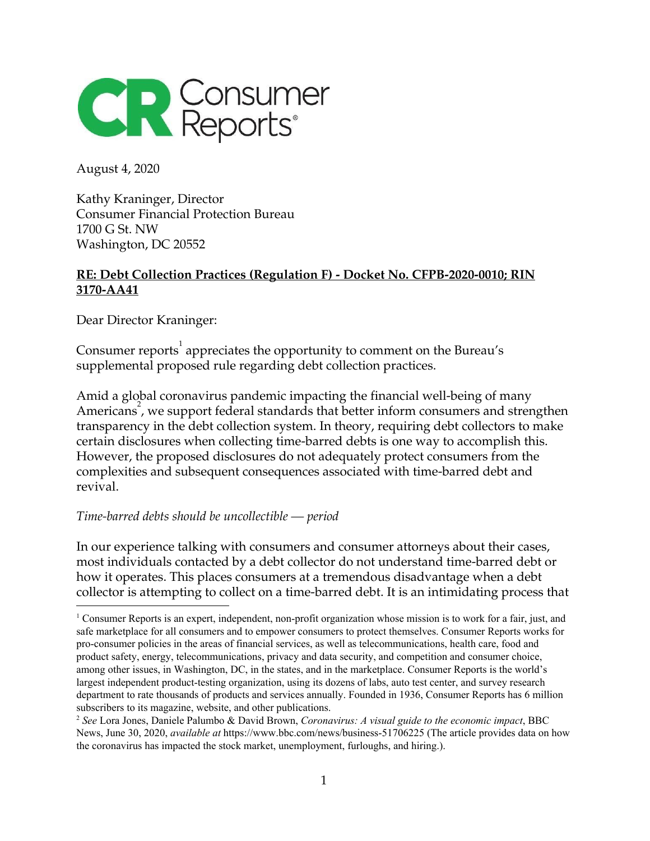

August 4, 2020

Kathy Kraninger, Director Consumer Financial Protection Bureau 1700 G St. NW Washington, DC 20552

# **RE: Debt Collection Practices (Regulation F) - Docket No. CFPB-2020-0010; RIN 3170-AA41**

Dear Director Kraninger:

Consumer reports $^{\rm l}$  appreciates the opportunity to comment on the Bureau's supplemental proposed rule regarding debt collection practices.

Amid a global coronavirus pandemic impacting the financial well-being of many Americans<sup>2</sup>, we support federal standards that better inform consumers and strengthen transparency in the debt collection system. In theory, requiring debt collectors to make certain disclosures when collecting time-barred debts is one way to accomplish this. However, the proposed disclosures do not adequately protect consumers from the complexities and subsequent consequences associated with time-barred debt and revival.

### *Time-barred debts should be uncollectible — period*

In our experience talking with consumers and consumer attorneys about their cases, most individuals contacted by a debt collector do not understand time-barred debt or how it operates. This places consumers at a tremendous disadvantage when a debt collector is attempting to collect on a time-barred debt. It is an intimidating process that

<sup>1</sup> Consumer Reports is an expert, independent, non-profit organization whose mission is to work for a fair, just, and safe marketplace for all consumers and to empower consumers to protect themselves. Consumer Reports works for pro-consumer policies in the areas of financial services, as well as telecommunications, health care, food and product safety, energy, telecommunications, privacy and data security, and competition and consumer choice, among other issues, in Washington, DC, in the states, and in the marketplace. Consumer Reports is the world's largest independent product-testing organization, using its dozens of labs, auto test center, and survey research department to rate thousands of products and services annually. Founded in 1936, Consumer Reports has 6 million subscribers to its magazine, website, and other publications.

<sup>2</sup> *See* Lora Jones, Daniele Palumbo & David Brown, *Coronavirus: A visual guide to the economic impact*, BBC News, June 30, 2020, *available at* https://www.bbc.com/news/business-51706225 (The article provides data on how the coronavirus has impacted the stock market, unemployment, furloughs, and hiring.).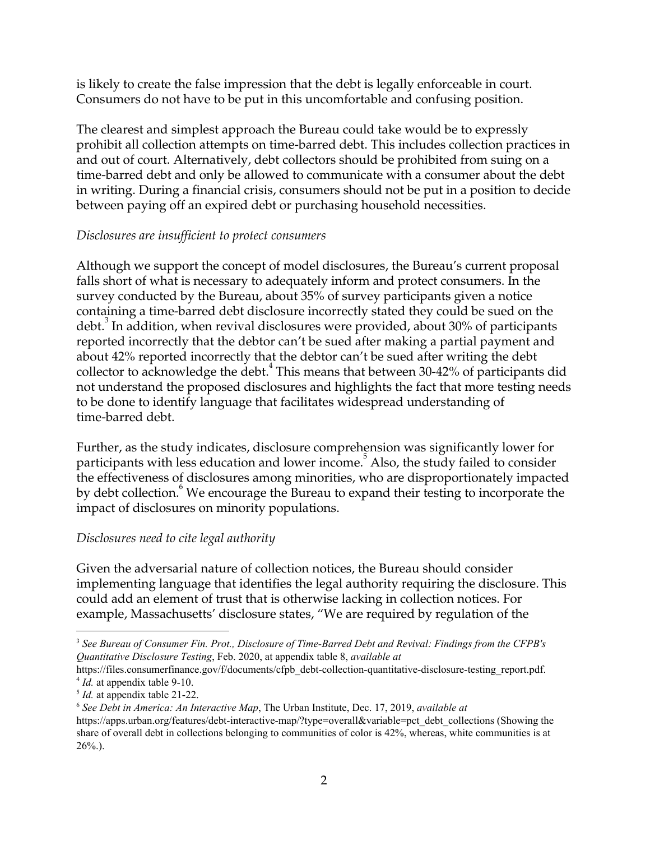is likely to create the false impression that the debt is legally enforceable in court. Consumers do not have to be put in this uncomfortable and confusing position.

The clearest and simplest approach the Bureau could take would be to expressly prohibit all collection attempts on time-barred debt. This includes collection practices in and out of court. Alternatively, debt collectors should be prohibited from suing on a time-barred debt and only be allowed to communicate with a consumer about the debt in writing. During a financial crisis, consumers should not be put in a position to decide between paying off an expired debt or purchasing household necessities.

# *Disclosures are insuf icient to protect consumers*

Although we support the concept of model disclosures, the Bureau's current proposal falls short of what is necessary to adequately inform and protect consumers. In the survey conducted by the Bureau, about 35% of survey participants given a notice containing a time-barred debt disclosure incorrectly stated they could be sued on the debt. $^3$  In addition, when revival disclosures were provided, about 30% of participants reported incorrectly that the debtor can't be sued after making a partial payment and about 42% reported incorrectly that the debtor can't be sued after writing the debt collector to acknowledge the debt. $^4$  This means that between 30-42% of participants did not understand the proposed disclosures and highlights the fact that more testing needs to be done to identify language that facilitates widespread understanding of time-barred debt.

Further, as the study indicates, disclosure comprehension was significantly lower for participants with less education and lower income.<sup>5</sup> Also, the study failed to consider the effectiveness of disclosures among minorities, who are disproportionately impacted by debt collection. <sup>6</sup> We encourage the Bureau to expand their testing to incorporate the impact of disclosures on minority populations.

# *Disclosures need to cite legal authority*

Given the adversarial nature of collection notices, the Bureau should consider implementing language that identifies the legal authority requiring the disclosure. This could add an element of trust that is otherwise lacking in collection notices. For example, Massachusetts' disclosure states, "We are required by regulation of the

<sup>3</sup> *See Bureau of Consumer Fin. Prot., Disclosure of Time-Barred Debt and Revival: Findings from the CFPB's Quantitative Disclosure Testing*, Feb. 2020, at appendix table 8, *available at*

https://files.consumerfinance.gov/f/documents/cfpb\_debt-collection-quantitative-disclosure-testing\_report.pdf. <sup>4</sup> *Id.* at appendix table 9-10.

<sup>5</sup> *Id.* at appendix table 21-22.

<sup>6</sup> *See Debt in America: An Interactive Map*, The Urban Institute, Dec. 17, 2019, *available at*

https://apps.urban.org/features/debt-interactive-map/?type=overall&variable=pct\_debt\_collections (Showing the share of overall debt in collections belonging to communities of color is 42%, whereas, white communities is at  $26\%$ ).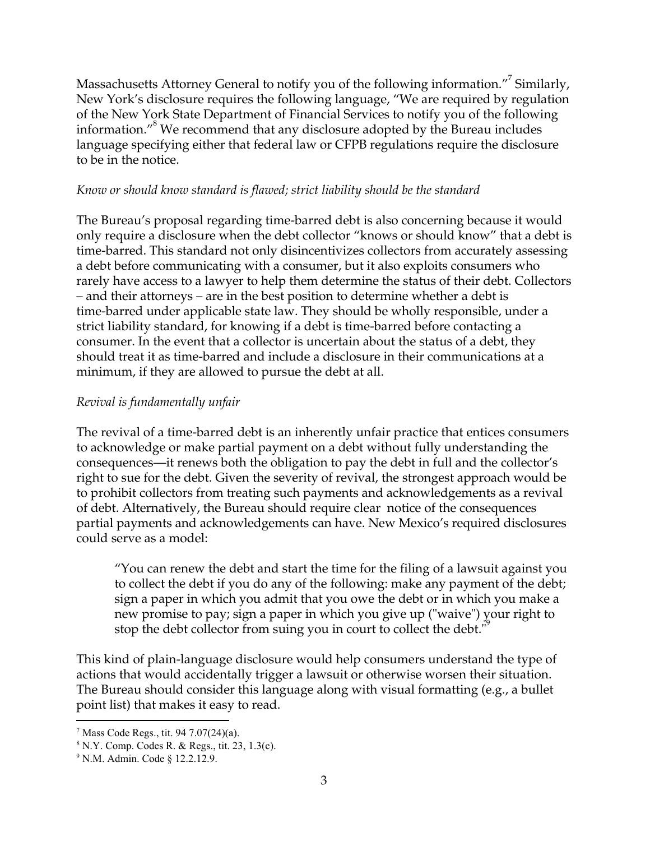Massachusetts Attorney General to notify you of the following information. $^{\prime\prime}$  Similarly, New York's disclosure requires the following language, "We are required by regulation of the New York State Department of Financial Services to notify you of the following information." $8$  We recommend that any disclosure adopted by the Bureau includes language specifying either that federal law or CFPB regulations require the disclosure to be in the notice.

### *Know or should know standard is flawed; strict liability should be the standard*

The Bureau's proposal regarding time-barred debt is also concerning because it would only require a disclosure when the debt collector "knows or should know" that a debt is time-barred. This standard not only disincentivizes collectors from accurately assessing a debt before communicating with a consumer, but it also exploits consumers who rarely have access to a lawyer to help them determine the status of their debt. Collectors – and their attorneys – are in the best position to determine whether a debt is time-barred under applicable state law. They should be wholly responsible, under a strict liability standard, for knowing if a debt is time-barred before contacting a consumer. In the event that a collector is uncertain about the status of a debt, they should treat it as time-barred and include a disclosure in their communications at a minimum, if they are allowed to pursue the debt at all.

# *Revival is fundamentally unfair*

The revival of a time-barred debt is an inherently unfair practice that entices consumers to acknowledge or make partial payment on a debt without fully understanding the consequences—it renews both the obligation to pay the debt in full and the collector's right to sue for the debt. Given the severity of revival, the strongest approach would be to prohibit collectors from treating such payments and acknowledgements as a revival of debt. Alternatively, the Bureau should require clear notice of the consequences partial payments and acknowledgements can have. New Mexico's required disclosures could serve as a model:

"You can renew the debt and start the time for the filing of a lawsuit against you to collect the debt if you do any of the following: make any payment of the debt; sign a paper in which you admit that you owe the debt or in which you make a new promise to pay; sign a paper in which you give up ("waive") your right to stop the debt collector from suing you in court to collect the debt."

This kind of plain-language disclosure would help consumers understand the type of actions that would accidentally trigger a lawsuit or otherwise worsen their situation. The Bureau should consider this language along with visual formatting (e.g., a bullet point list) that makes it easy to read.

 $7$  Mass Code Regs., tit. 94 7.07(24)(a).

 $8$  N.Y. Comp. Codes R. & Regs., tit. 23, 1.3(c).

<sup>9</sup> N.M. Admin. Code § 12.2.12.9.